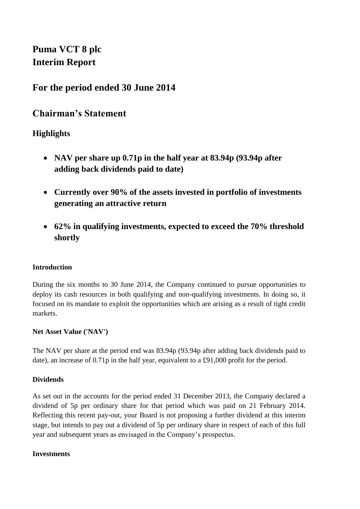**Puma VCT 8 plc Interim Report**

# **For the period ended 30 June 2014**

# **Chairman's Statement**

# **Highlights**

- **NAV per share up 0.71p in the half year at 83.94p (93.94p after adding back dividends paid to date)**
- **Currently over 90% of the assets invested in portfolio of investments generating an attractive return**
- **62% in qualifying investments, expected to exceed the 70% threshold shortly**

### **Introduction**

During the six months to 30 June 2014, the Company continued to pursue opportunities to deploy its cash resources in both qualifying and non-qualifying investments. In doing so, it focused on its mandate to exploit the opportunities which are arising as a result of tight credit markets.

#### **Net Asset Value ('NAV')**

The NAV per share at the period end was 83.94p (93.94p after adding back dividends paid to date), an increase of 0.71p in the half year, equivalent to a £91,000 profit for the period.

### **Dividends**

As set out in the accounts for the period ended 31 December 2013, the Company declared a dividend of 5p per ordinary share for that period which was paid on 21 February 2014. Reflecting this recent pay-out, your Board is not proposing a further dividend at this interim stage, but intends to pay out a dividend of 5p per ordinary share in respect of each of this full year and subsequent years as envisaged in the Company's prospectus.

#### **Investments**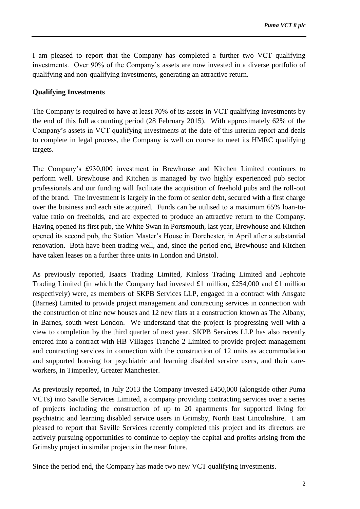I am pleased to report that the Company has completed a further two VCT qualifying investments. Over 90% of the Company's assets are now invested in a diverse portfolio of qualifying and non-qualifying investments, generating an attractive return.

### **Qualifying Investments**

The Company is required to have at least 70% of its assets in VCT qualifying investments by the end of this full accounting period (28 February 2015). With approximately 62% of the Company's assets in VCT qualifying investments at the date of this interim report and deals to complete in legal process, the Company is well on course to meet its HMRC qualifying targets.

The Company's £930,000 investment in Brewhouse and Kitchen Limited continues to perform well. Brewhouse and Kitchen is managed by two highly experienced pub sector professionals and our funding will facilitate the acquisition of freehold pubs and the roll-out of the brand. The investment is largely in the form of senior debt, secured with a first charge over the business and each site acquired. Funds can be utilised to a maximum 65% loan-tovalue ratio on freeholds, and are expected to produce an attractive return to the Company. Having opened its first pub, the White Swan in Portsmouth, last year, Brewhouse and Kitchen opened its second pub, the Station Master's House in Dorchester, in April after a substantial renovation. Both have been trading well, and, since the period end, Brewhouse and Kitchen have taken leases on a further three units in London and Bristol.

As previously reported, Isaacs Trading Limited, Kinloss Trading Limited and Jephcote Trading Limited (in which the Company had invested £1 million, £254,000 and £1 million respectively) were, as members of SKPB Services LLP, engaged in a contract with Ansgate (Barnes) Limited to provide project management and contracting services in connection with the construction of nine new houses and 12 new flats at a construction known as The Albany, in Barnes, south west London. We understand that the project is progressing well with a view to completion by the third quarter of next year. SKPB Services LLP has also recently entered into a contract with HB Villages Tranche 2 Limited to provide project management and contracting services in connection with the construction of 12 units as accommodation and supported housing for psychiatric and learning disabled service users, and their careworkers, in Timperley, Greater Manchester.

As previously reported, in July 2013 the Company invested £450,000 (alongside other Puma VCTs) into Saville Services Limited, a company providing contracting services over a series of projects including the construction of up to 20 apartments for supported living for psychiatric and learning disabled service users in Grimsby, North East Lincolnshire. I am pleased to report that Saville Services recently completed this project and its directors are actively pursuing opportunities to continue to deploy the capital and profits arising from the Grimsby project in similar projects in the near future.

Since the period end, the Company has made two new VCT qualifying investments.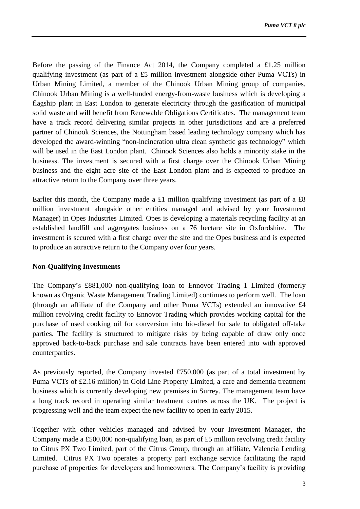Before the passing of the Finance Act 2014, the Company completed a £1.25 million qualifying investment (as part of a £5 million investment alongside other Puma VCTs) in Urban Mining Limited, a member of the Chinook Urban Mining group of companies. Chinook Urban Mining is a well-funded energy-from-waste business which is developing a flagship plant in East London to generate electricity through the gasification of municipal solid waste and will benefit from Renewable Obligations Certificates. The management team have a track record delivering similar projects in other jurisdictions and are a preferred partner of Chinook Sciences, the Nottingham based leading technology company which has developed the award-winning "non-incineration ultra clean synthetic gas technology" which will be used in the East London plant. Chinook Sciences also holds a minority stake in the business. The investment is secured with a first charge over the Chinook Urban Mining business and the eight acre site of the East London plant and is expected to produce an attractive return to the Company over three years.

Earlier this month, the Company made a £1 million qualifying investment (as part of a  $£8$ million investment alongside other entities managed and advised by your Investment Manager) in Opes Industries Limited. Opes is developing a materials recycling facility at an established landfill and aggregates business on a 76 hectare site in Oxfordshire. The investment is secured with a first charge over the site and the Opes business and is expected to produce an attractive return to the Company over four years.

#### **Non-Qualifying Investments**

The Company's £881,000 non-qualifying loan to Ennovor Trading 1 Limited (formerly known as Organic Waste Management Trading Limited) continues to perform well. The loan (through an affiliate of the Company and other Puma VCTs) extended an innovative £4 million revolving credit facility to Ennovor Trading which provides working capital for the purchase of used cooking oil for conversion into bio-diesel for sale to obligated off-take parties. The facility is structured to mitigate risks by being capable of draw only once approved back-to-back purchase and sale contracts have been entered into with approved counterparties.

As previously reported, the Company invested £750,000 (as part of a total investment by Puma VCTs of £2.16 million) in Gold Line Property Limited, a care and dementia treatment business which is currently developing new premises in Surrey. The management team have a long track record in operating similar treatment centres across the UK. The project is progressing well and the team expect the new facility to open in early 2015.

Together with other vehicles managed and advised by your Investment Manager, the Company made a £500,000 non-qualifying loan, as part of £5 million revolving credit facility to Citrus PX Two Limited, part of the Citrus Group, through an affiliate, Valencia Lending Limited. Citrus PX Two operates a property part exchange service facilitating the rapid purchase of properties for developers and homeowners. The Company's facility is providing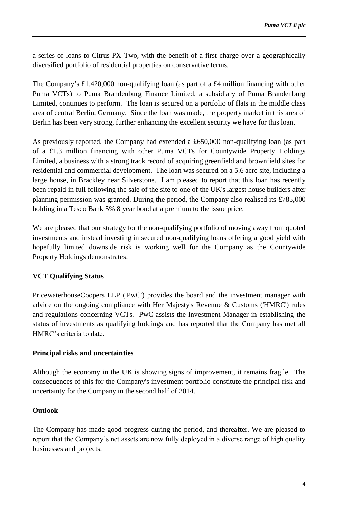a series of loans to Citrus PX Two, with the benefit of a first charge over a geographically diversified portfolio of residential properties on conservative terms.

The Company's £1,420,000 non-qualifying loan (as part of a £4 million financing with other Puma VCTs) to Puma Brandenburg Finance Limited, a subsidiary of Puma Brandenburg Limited, continues to perform. The loan is secured on a portfolio of flats in the middle class area of central Berlin, Germany. Since the loan was made, the property market in this area of Berlin has been very strong, further enhancing the excellent security we have for this loan.

As previously reported, the Company had extended a £650,000 non-qualifying loan (as part of a £1.3 million financing with other Puma VCTs for Countywide Property Holdings Limited, a business with a strong track record of acquiring greenfield and brownfield sites for residential and commercial development. The loan was secured on a 5.6 acre site, including a large house, in Brackley near Silverstone. I am pleased to report that this loan has recently been repaid in full following the sale of the site to one of the UK's largest house builders after planning permission was granted. During the period, the Company also realised its £785,000 holding in a Tesco Bank 5% 8 year bond at a premium to the issue price.

We are pleased that our strategy for the non-qualifying portfolio of moving away from quoted investments and instead investing in secured non-qualifying loans offering a good yield with hopefully limited downside risk is working well for the Company as the Countywide Property Holdings demonstrates.

### **VCT Qualifying Status**

PricewaterhouseCoopers LLP ('PwC') provides the board and the investment manager with advice on the ongoing compliance with Her Majesty's Revenue & Customs ('HMRC') rules and regulations concerning VCTs. PwC assists the Investment Manager in establishing the status of investments as qualifying holdings and has reported that the Company has met all HMRC's criteria to date.

#### **Principal risks and uncertainties**

Although the economy in the UK is showing signs of improvement, it remains fragile. The consequences of this for the Company's investment portfolio constitute the principal risk and uncertainty for the Company in the second half of 2014.

#### **Outlook**

The Company has made good progress during the period, and thereafter. We are pleased to report that the Company's net assets are now fully deployed in a diverse range of high quality businesses and projects.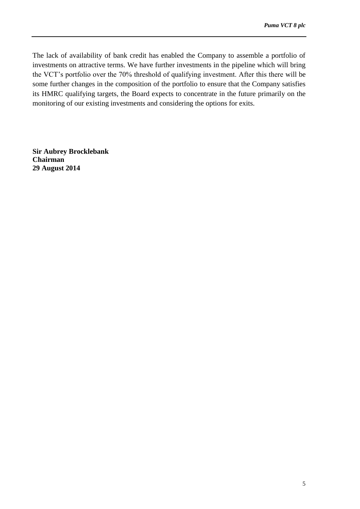The lack of availability of bank credit has enabled the Company to assemble a portfolio of investments on attractive terms. We have further investments in the pipeline which will bring the VCT's portfolio over the 70% threshold of qualifying investment. After this there will be some further changes in the composition of the portfolio to ensure that the Company satisfies its HMRC qualifying targets, the Board expects to concentrate in the future primarily on the monitoring of our existing investments and considering the options for exits.

**Sir Aubrey Brocklebank Chairman 29 August 2014**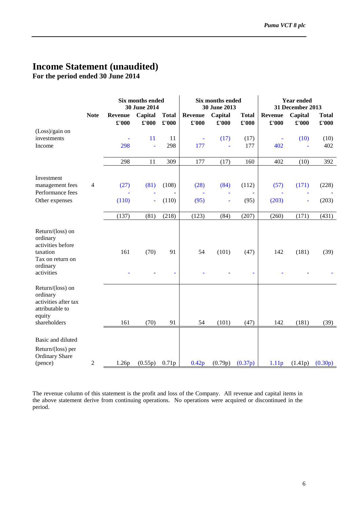# **Income Statement (unaudited)**

**For the period ended 30 June 2014**

|                                                                                                             |                | <b>Six months ended</b><br>30 June 2014 |                  |                       | <b>Six months ended</b><br>30 June 2013 |                  |                       | Year ended<br>31 December 2013 |                  |                               |
|-------------------------------------------------------------------------------------------------------------|----------------|-----------------------------------------|------------------|-----------------------|-----------------------------------------|------------------|-----------------------|--------------------------------|------------------|-------------------------------|
|                                                                                                             | <b>Note</b>    | <b>Revenue</b><br>£'000                 | Capital<br>£'000 | <b>Total</b><br>£'000 | <b>Revenue</b><br>£'000                 | Capital<br>£'000 | <b>Total</b><br>£'000 | <b>Revenue</b><br>£'000        | Capital<br>£'000 | <b>Total</b><br>$\pounds 000$ |
| $(Loss)/gain$ on<br>investments<br>Income                                                                   |                | 298                                     | 11<br>L,         | 11<br>298             | Ξ<br>177                                | (17)<br>ä,       | (17)<br>177           | 402                            | (10)             | (10)<br>402                   |
|                                                                                                             |                | 298                                     | 11               | 309                   | 177                                     | (17)             | 160                   | 402                            | (10)             | 392                           |
| Investment<br>management fees<br>Performance fees<br>Other expenses                                         | $\overline{4}$ | (27)<br>(110)                           | (81)             | (108)<br>(110)        | (28)<br>(95)                            | (84)<br>ä        | (112)<br>(95)         | (57)<br>(203)                  | (171)            | (228)<br>(203)                |
|                                                                                                             |                | (137)                                   | (81)             | (218)                 | (123)                                   | (84)             | (207)                 | (260)                          | (171)            | (431)                         |
| Return/(loss) on<br>ordinary<br>activities before<br>taxation<br>Tax on return on<br>ordinary<br>activities |                | 161                                     | (70)             | 91                    | 54                                      | (101)            | (47)<br>L,            | 142                            | (181)            | (39)                          |
| Return/(loss) on<br>ordinary<br>activities after tax<br>attributable to<br>equity<br>shareholders           |                | 161                                     | (70)             | 91                    | 54                                      | (101)            | (47)                  | 142                            | (181)            | (39)                          |
| Basic and diluted<br>Return/(loss) per<br><b>Ordinary Share</b><br>(pence)                                  | $\overline{2}$ | 1.26p                                   | (0.55p)          | 0.71p                 | 0.42p                                   | (0.79p)          | (0.37p)               | 1.11p                          | (1.41p)          | (0.30p)                       |

The revenue column of this statement is the profit and loss of the Company. All revenue and capital items in the above statement derive from continuing operations. No operations were acquired or discontinued in the period.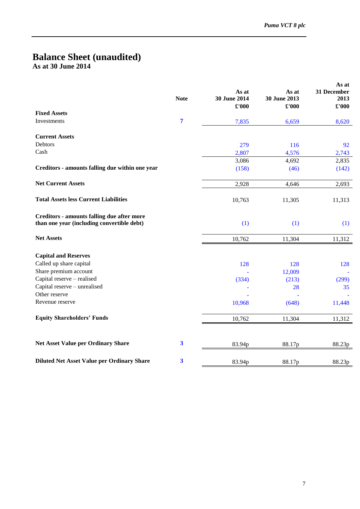### **Balance Sheet (unaudited) As at 30 June 2014**

|                                                                                          | <b>Note</b>             | As at<br>30 June 2014<br>£'000 | As at<br>30 June 2013<br>£'000 | As at<br>31 December<br>2013<br>$\pounds 000$ |
|------------------------------------------------------------------------------------------|-------------------------|--------------------------------|--------------------------------|-----------------------------------------------|
| <b>Fixed Assets</b>                                                                      |                         |                                |                                |                                               |
| Investments                                                                              | 7                       | 7,835                          | 6,659                          | 8,620                                         |
| <b>Current Assets</b>                                                                    |                         |                                |                                |                                               |
| Debtors                                                                                  |                         | 279                            | 116                            | 92                                            |
| Cash                                                                                     |                         | 2,807                          | 4,576                          | 2,743                                         |
|                                                                                          |                         | 3,086                          | 4,692                          | 2,835                                         |
| Creditors - amounts falling due within one year                                          |                         | (158)                          | (46)                           | (142)                                         |
| <b>Net Current Assets</b>                                                                |                         | 2,928                          | 4,646                          | 2,693                                         |
| <b>Total Assets less Current Liabilities</b>                                             |                         | 10,763                         | 11,305                         | 11,313                                        |
| Creditors - amounts falling due after more<br>than one year (including convertible debt) |                         | (1)                            | (1)                            | (1)                                           |
| <b>Net Assets</b>                                                                        |                         | 10,762                         | 11,304                         | 11,312                                        |
| <b>Capital and Reserves</b>                                                              |                         |                                |                                |                                               |
| Called up share capital                                                                  |                         | 128                            | 128                            | 128                                           |
| Share premium account<br>Capital reserve - realised                                      |                         |                                | 12,009                         |                                               |
| Capital reserve - unrealised                                                             |                         | (334)                          | (213)<br>28                    | (299)<br>35                                   |
| Other reserve                                                                            |                         |                                |                                |                                               |
| Revenue reserve                                                                          |                         | 10,968                         | (648)                          | 11,448                                        |
| <b>Equity Shareholders' Funds</b>                                                        |                         | 10,762                         | 11,304                         | 11,312                                        |
| <b>Net Asset Value per Ordinary Share</b>                                                | $\overline{\mathbf{3}}$ | 83.94p                         | 88.17p                         | 88.23p                                        |
| <b>Diluted Net Asset Value per Ordinary Share</b>                                        | 3                       | 83.94p                         | 88.17p                         | 88.23p                                        |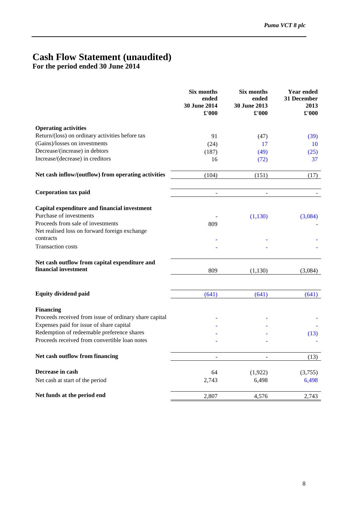# **Cash Flow Statement (unaudited)**

**For the period ended 30 June 2014**

|                                                                       | Six months<br>ended<br>30 June 2014<br>£'000 | Six months<br>ended<br>30 June 2013<br>£'000 | <b>Year ended</b><br>31 December<br>2013<br>$\pounds 000$ |
|-----------------------------------------------------------------------|----------------------------------------------|----------------------------------------------|-----------------------------------------------------------|
| <b>Operating activities</b>                                           |                                              |                                              |                                                           |
| Return/(loss) on ordinary activities before tax                       | 91                                           | (47)                                         | (39)                                                      |
| (Gains)/losses on investments                                         | (24)                                         | 17                                           | 10                                                        |
| Decrease/(increase) in debtors                                        | (187)                                        | (49)                                         | (25)                                                      |
| Increase/(decrease) in creditors                                      | 16                                           | (72)                                         | 37                                                        |
| Net cash inflow/(outflow) from operating activities                   | (104)                                        | (151)                                        | (17)                                                      |
| <b>Corporation tax paid</b>                                           | ä,                                           | ä,                                           |                                                           |
| Capital expenditure and financial investment                          |                                              |                                              |                                                           |
| Purchase of investments                                               |                                              | (1,130)                                      | (3,084)                                                   |
| Proceeds from sale of investments                                     | 809                                          |                                              |                                                           |
| Net realised loss on forward foreign exchange                         |                                              |                                              |                                                           |
| contracts                                                             |                                              |                                              |                                                           |
| <b>Transaction costs</b>                                              |                                              |                                              |                                                           |
| Net cash outflow from capital expenditure and<br>financial investment | 809                                          | (1, 130)                                     | (3,084)                                                   |
| <b>Equity dividend paid</b>                                           | (641)                                        | (641)                                        | (641)                                                     |
| <b>Financing</b>                                                      |                                              |                                              |                                                           |
| Proceeds received from issue of ordinary share capital                |                                              |                                              |                                                           |
| Expenses paid for issue of share capital                              |                                              |                                              |                                                           |
| Redemption of redeemable preference shares                            |                                              |                                              | (13)                                                      |
| Proceeds received from convertible loan notes                         |                                              |                                              |                                                           |
| Net cash outflow from financing                                       | L,                                           |                                              | (13)                                                      |
| Decrease in cash                                                      | 64                                           | (1,922)                                      | (3,755)                                                   |
| Net cash at start of the period                                       | 2,743                                        | 6,498                                        | 6,498                                                     |
| Net funds at the period end                                           | 2,807                                        | 4,576                                        | 2,743                                                     |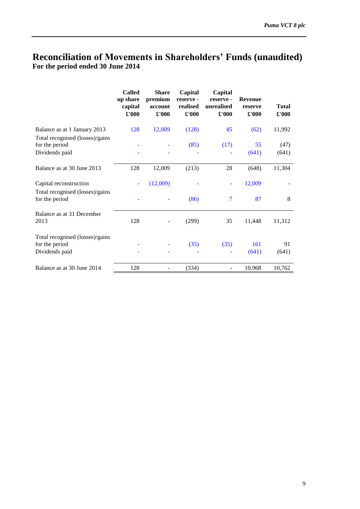# **Reconciliation of Movements in Shareholders' Funds (unaudited) For the period ended 30 June 2014**

|                                                                     | <b>Called</b><br>up share<br>capital<br>£'000 | <b>Share</b><br>premium<br>account<br>£'000 | Capital<br>reserve-<br>realised<br>$\pounds 000$ | Capital<br>reserve -<br>unrealised<br>£'000 | <b>Revenue</b><br>reserve<br>$\pmb{\pounds}$ '000 | <b>Total</b><br>$\pounds 000$ |
|---------------------------------------------------------------------|-----------------------------------------------|---------------------------------------------|--------------------------------------------------|---------------------------------------------|---------------------------------------------------|-------------------------------|
| Balance as at 1 January 2013                                        | 128                                           | 12,009                                      | (128)                                            | 45                                          | (62)                                              | 11,992                        |
| Total recognised (losses)/gains<br>for the period<br>Dividends paid |                                               |                                             | (85)                                             | (17)                                        | 55<br>(641)                                       | (47)<br>(641)                 |
| Balance as at 30 June 2013                                          | 128                                           | 12,009                                      | (213)                                            | 28                                          | (648)                                             | 11,304                        |
| Capital reconstruction                                              |                                               | (12,009)                                    |                                                  |                                             | 12,009                                            |                               |
| Total recognised (losses)/gains<br>for the period                   |                                               |                                             | (86)                                             | $\overline{7}$                              | 87                                                | 8                             |
| Balance as at 31 December<br>2013                                   | 128                                           |                                             | (299)                                            | 35                                          | 11,448                                            | 11,312                        |
| Total recognised (losses)/gains<br>for the period<br>Dividends paid |                                               |                                             | (35)                                             | (35)                                        | 161<br>(641)                                      | 91<br>(641)                   |
| Balance as at 30 June 2014                                          | 128                                           |                                             | (334)                                            |                                             | 10,968                                            | 10,762                        |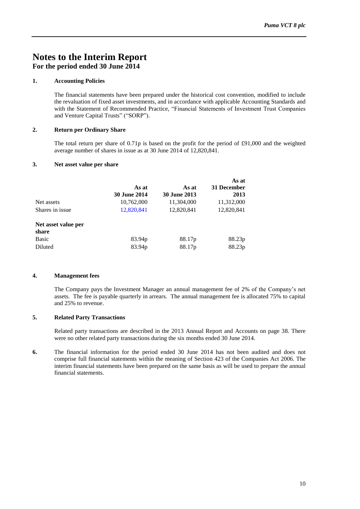# **Notes to the Interim Report For the period ended 30 June 2014**

#### **1. Accounting Policies**

The financial statements have been prepared under the historical cost convention, modified to include the revaluation of fixed asset investments, and in accordance with applicable Accounting Standards and with the Statement of Recommended Practice, "Financial Statements of Investment Trust Companies and Venture Capital Trusts" ("SORP").

#### **2. Return per Ordinary Share**

The total return per share of 0.71p is based on the profit for the period of £91,000 and the weighted average number of shares in issue as at 30 June 2014 of 12,820,841.

#### **3. Net asset value per share**

|                     |                     |                     | As at       |
|---------------------|---------------------|---------------------|-------------|
|                     | As at               | As at               | 31 December |
|                     | <b>30 June 2014</b> | <b>30 June 2013</b> | 2013        |
| Net assets          | 10,762,000          | 11,304,000          | 11,312,000  |
| Shares in issue     | 12,820,841          | 12,820,841          | 12,820,841  |
| Net asset value per |                     |                     |             |
| share               |                     |                     |             |
| <b>Basic</b>        | 83.94p              | 88.17p              | 88.23p      |
| Diluted             | 83.94p              | 88.17p              | 88.23p      |

#### **4. Management fees**

The Company pays the Investment Manager an annual management fee of 2% of the Company's net assets. The fee is payable quarterly in arrears. The annual management fee is allocated 75% to capital and 25% to revenue.

#### **5. Related Party Transactions**

Related party transactions are described in the 2013 Annual Report and Accounts on page 38. There were no other related party transactions during the six months ended 30 June 2014.

**6.** The financial information for the period ended 30 June 2014 has not been audited and does not comprise full financial statements within the meaning of Section 423 of the Companies Act 2006. The interim financial statements have been prepared on the same basis as will be used to prepare the annual financial statements.